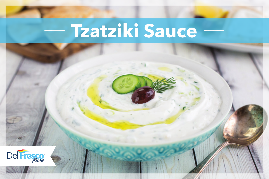# **Tzatziki Sauce --**